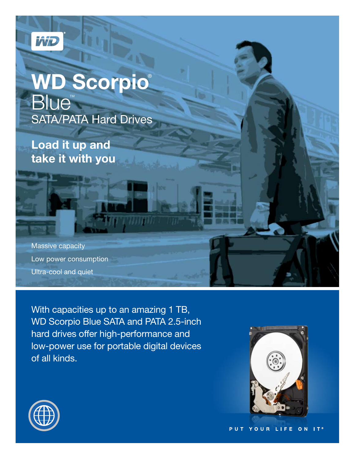

# **WD Scorpio**® **Blue™** SATA/PATA Hard Drives

**Load it up and take it with you**

Massive capacity Low power consumption Ultra-cool and quiet

With capacities up to an amazing 1 TB, WD Scorpio Blue SATA and PATA 2.5-inch hard drives offer high-performance and low-power use for portable digital devices of all kinds.

WHAT